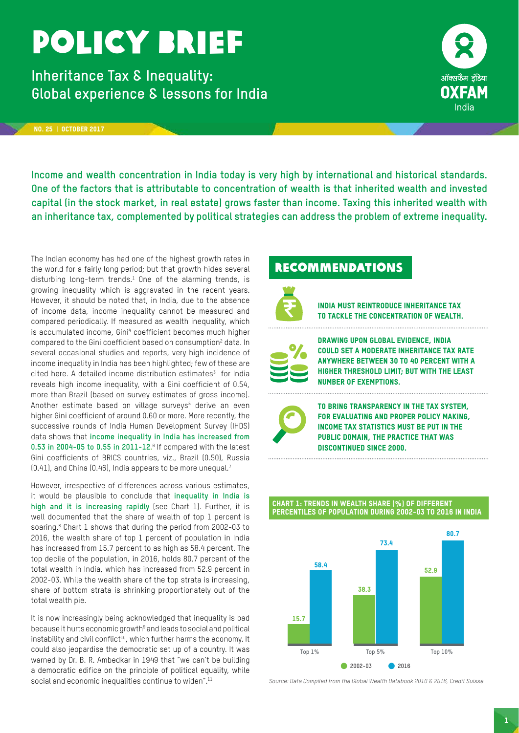## policy brief

**Inheritance Tax & Inequality: Global experience & lessons for India** 



#### no. 25 | october 2017

**Income and wealth concentration in India today is very high by international and historical standards. One of the factors that is attributable to concentration of wealth is that inherited wealth and invested capital (in the stock market, in real estate) grows faster than income. Taxing this inherited wealth with an inheritance tax, complemented by political strategies can address the problem of extreme inequality.** 

The Indian economy has had one of the highest growth rates in the world for a fairly long period; but that growth hides several disturbing long-term trends. $^1$  One of the alarming trends, is growing inequality which is aggravated in the recent years. However, it should be noted that, in India, due to the absence of income data, income inequality cannot be measured and compared periodically. If measured as wealth inequality, which is accumulated income, Gini4 coefficient becomes much higher compared to the Gini coefficient based on consumption<sup>2</sup> data. In several occasional studies and reports, very high incidence of income inequality in India has been highlighted; few of these are cited here. A detailed income distribution estimates $3$  for India reveals high income inequality, with a Gini coefficient of 0.54, more than Brazil (based on survey estimates of gross income). Another estimate based on village surveys<sup>5</sup> derive an even higher Gini coefficient of around 0.60 or more. More recently, the successive rounds of India Human Development Survey (IHDS) data shows that **income inequality in India has increased from 0.53 in 2004-05 to 0.55 in 2011-12.** 6 If compared with the latest Gini coefficients of BRICS countries, viz., Brazil (0.50), Russia  $(0.41)$ , and China  $(0.46)$ , India appears to be more unequal.<sup>7</sup>

However, irrespective of differences across various estimates, it would be plausible to conclude that **inequality in India is high and it is increasing rapidly** (see Chart 1). Further, it is well documented that the share of wealth of top 1 percent is soaring.8 Chart 1 shows that during the period from 2002-03 to 2016, the wealth share of top 1 percent of population in India has increased from 15.7 percent to as high as 58.4 percent. The top decile of the population, in 2016, holds 80.7 percent of the total wealth in India, which has increased from 52.9 percent in 2002-03. While the wealth share of the top strata is increasing, share of bottom strata is shrinking proportionately out of the total wealth pie.

It is now increasingly being acknowledged that inequality is bad because it hurts economic growth<sup>9</sup> and leads to social and political instability and civil conflict<sup>10</sup>, which further harms the economy. It could also jeopardise the democratic set up of a country. It was warned by Dr. B. R. Ambedkar in 1949 that "we can't be building a democratic edifice on the principle of political equality, while social and economic inequalities continue to widen".<sup>11</sup>

## **RECOMMENDATIONS**



India must reintroduce Inheritance Tax to tackle the concentration of wealth.



Drawing upon global evidence, India could set a moderate inheritance tax rate anywhere between 30 to 40 percent with a higher threshold limit; but with the least number of exemptions.



To bring transparency in the tax system, for evaluating and proper policy making, income tax statistics must be put in the public domain, the practice that was discontinued since 2000.

#### Chart 1: Trends in Wealth Share (%) of different percentiles of Population during 2002-03 to 2016 in India



*Source: Data Compiled from the Global Wealth Databook 2010 & 2016, Credit Suisse*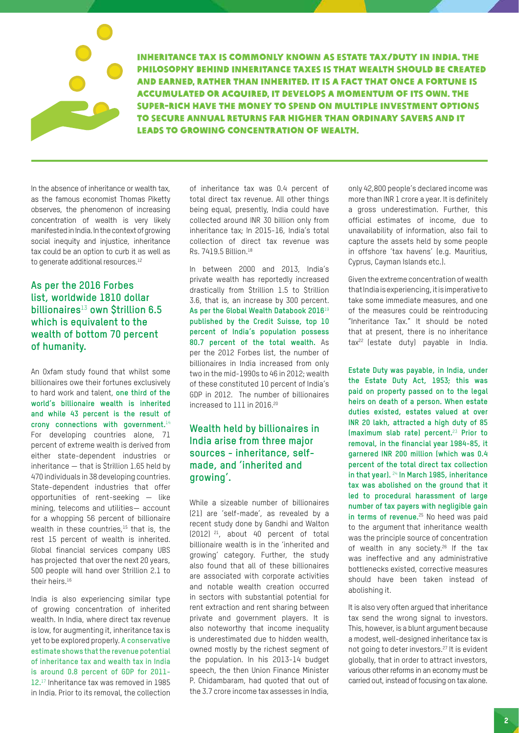

Inheritance tax is commonly known as Estate Tax/Duty in India. The philosophy behind inheritance taxes is that wealth should be created and earned, rather than inherited. It is A fact that once a fortune is accumulated or acquired, it develops a momentum of its own. The super-rich have the money to spend on multiple investment options to secure annual returns far higher than ordinary savers and it leads to growing concentration of wealth.

In the absence of inheritance or wealth tax, as the famous economist Thomas Piketty observes, the phenomenon of increasing concentration of wealth is very likely manifested in India. In the context of growing social inequity and injustice, inheritance tax could be an option to curb it as well as to generate additional resources.<sup>12</sup>

### **As per the 2016 Forbes list, worldwide 1810 dollar billionaires**<sup>13</sup> **own \$trillion 6.5 which is equivalent to the wealth of bottom 70 percent of humanity.**

An Oxfam study found that whilst some billionaires owe their fortunes exclusively to hard work and talent, **one third of the world's billionaire wealth is inherited and while 43 percent is the result of crony connections with government.**<sup>14</sup> For developing countries alone, 71 percent of extreme wealth is derived from either state-dependent industries or inheritance — that is \$trillion 1.65 held by 470 individuals in 38 developing countries. State-dependent industries that offer opportunities of rent-seeking — like mining, telecoms and utilities— account for a whopping 56 percent of billionaire wealth in these countries, $15$  that is, the rest 15 percent of wealth is inherited. Global financial services company UBS has projected that over the next 20 years, 500 people will hand over \$trillion 2.1 to their heirs.<sup>16</sup>

India is also experiencing similar type of growing concentration of inherited wealth. In India, where direct tax revenue is low, for augmenting it, inheritance tax is yet to be explored properly. **A conservative estimate shows that the revenue potential of inheritance tax and wealth tax in India is around 0.8 percent of GDP for 2011- 12.**<sup>17</sup> Inheritance tax was removed in 1985 in India. Prior to its removal, the collection

of inheritance tax was 0.4 percent of total direct tax revenue. All other things being equal, presently, India could have collected around INR 30 billion only from inheritance tax; In 2015-16, India's total collection of direct tax revenue was Rs. 7419.5 Billion.18

In between 2000 and 2013, India's private wealth has reportedly increased drastically from \$trillion 1.5 to \$trillion 3.6, that is, an increase by 300 percent. **As per the Global Wealth Databook 2016**<sup>19</sup> **published by the Credit Suisse, top 10 percent of India's population possess 80.7 percent of the total wealth.** As per the 2012 Forbes list, the number of billionaires in India increased from only two in the mid-1990s to 46 in 2012; wealth of these constituted 10 percent of India's GDP in 2012. The number of billionaires increased to 111 in 2016.20

### **Wealth held by billionaires in India arise from three major sources - inheritance, selfmade, and 'inherited and growing'.**

While a sizeable number of billionaires (21) are 'self-made', as revealed by a recent study done by Gandhi and Walton (2012) 21, about 40 percent of total billionaire wealth is in the 'inherited and growing' category. Further, the study also found that all of these billionaires are associated with corporate activities and notable wealth creation occurred in sectors with substantial potential for rent extraction and rent sharing between private and government players. It is also noteworthy that income inequality is underestimated due to hidden wealth, owned mostly by the richest segment of the population. In his 2013-14 budget speech, the then Union Finance Minister P. Chidambaram, had quoted that out of the 3.7 crore income tax assesses in India,

only 42,800 people's declared income was more than INR 1 crore a year. It is definitely a gross underestimation. Further, this official estimates of income, due to unavailability of information, also fail to capture the assets held by some people in offshore 'tax havens' (e.g. Mauritius, Cyprus, Cayman Islands etc.).

Given the extreme concentration of wealth that India is experiencing, it is imperative to take some immediate measures, and one of the measures could be reintroducing "Inheritance Tax." It should be noted that at present, there is no inheritance tax<sup>22</sup> (estate duty) payable in India.

**Estate Duty was payable, in India, under the Estate Duty Act, 1953; this was paid on property passed on to the legal heirs on death of a person. When estate duties existed, estates valued at over INR 20 lakh, attracted a high duty of 85 (maximum slab rate) percent.**23 **Prior to removal, in the financial year 1984-85, it garnered INR 200 million (which was 0.4 percent of the total direct tax collection in that year).** 24 **In March 1985, inheritance tax was abolished on the ground that it led to procedural harassment of large number of tax payers with negligible gain in terms of revenue.**<sup>25</sup> No heed was paid to the argument that inheritance wealth was the principle source of concentration of wealth in any society.<sup>26</sup> If the tax was ineffective and any administrative bottlenecks existed, corrective measures should have been taken instead of abolishing it.

It is also very often argued that inheritance tax send the wrong signal to investors. This, however, is a blunt argument because a modest, well-designed inheritance tax is not going to deter investors.27 It is evident globally, that in order to attract investors, various other reforms in an economy must be carried out, instead of focusing on tax alone.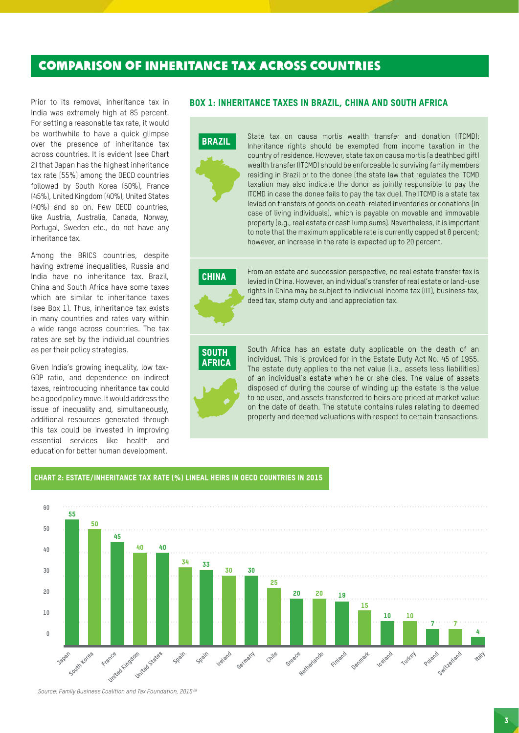## COMPARISON OF INHERITANCE TAX ACROSS COUNTRIES

Prior to its removal, inheritance tax in India was extremely high at 85 percent. For setting a reasonable tax rate, it would be worthwhile to have a quick glimpse over the presence of inheritance tax across countries. It is evident (see Chart 2) that Japan has the highest inheritance tax rate (55%) among the OECD countries followed by South Korea (50%), France (45%), United Kingdom (40%), United States (40%) and so on. Few OECD countries, like Austria, Australia, Canada, Norway, Portugal, Sweden etc., do not have any inheritance tax.

Among the BRICS countries, despite having extreme inequalities, Russia and India have no inheritance tax. Brazil, China and South Africa have some taxes which are similar to inheritance taxes (see Box 1). Thus, inheritance tax exists in many countries and rates vary within a wide range across countries. The tax rates are set by the individual countries as per their policy strategies.

Given India's growing inequality, low tax-GDP ratio, and dependence on indirect taxes, reintroducing inheritance tax could be a good policy move. It would address the issue of inequality and, simultaneously, additional resources generated through this tax could be invested in improving essential services like health and education for better human development.

#### BOX 1: Inheritance Taxes in Brazil, China and South Africa



State tax on causa mortis wealth transfer and donation (ITCMD): Inheritance rights should be exempted from income taxation in the country of residence. However, state tax on causa mortis (a deathbed gift) wealth transfer (ITCMD) should be enforceable to surviving family members residing in Brazil or to the donee (the state law that regulates the ITCMD taxation may also indicate the donor as jointly responsible to pay the ITCMD in case the donee fails to pay the tax due). The ITCMD is a state tax levied on transfers of goods on death-related inventories or donations (in case of living individuals), which is payable on movable and immovable property (e.g., real estate or cash lump sums). Nevertheless, it is important to note that the maximum applicable rate is currently capped at 8 percent; however, an increase in the rate is expected up to 20 percent.

# CHINA

From an estate and succession perspective, no real estate transfer tax is levied in China. However, an individual's transfer of real estate or land-use rights in China may be subject to individual income tax (IIT), business tax, deed tax, stamp duty and land appreciation tax.

## **SOUTH AFRICA**

South Africa has an estate duty applicable on the death of an individual. This is provided for in the Estate Duty Act No. 45 of 1955. The estate duty applies to the net value (i.e., assets less liabilities) of an individual's estate when he or she dies. The value of assets disposed of during the course of winding up the estate is the value to be used, and assets transferred to heirs are priced at market value on the date of death. The statute contains rules relating to deemed property and deemed valuations with respect to certain transactions.

#### Chart 2: ESTATE/INHERITANCE TAX RATE (%) LINEAL HEIRS IN OECD COUNTRIES IN 2015



*Source: Family Business Coalition and Tax Foundation, 2015 28*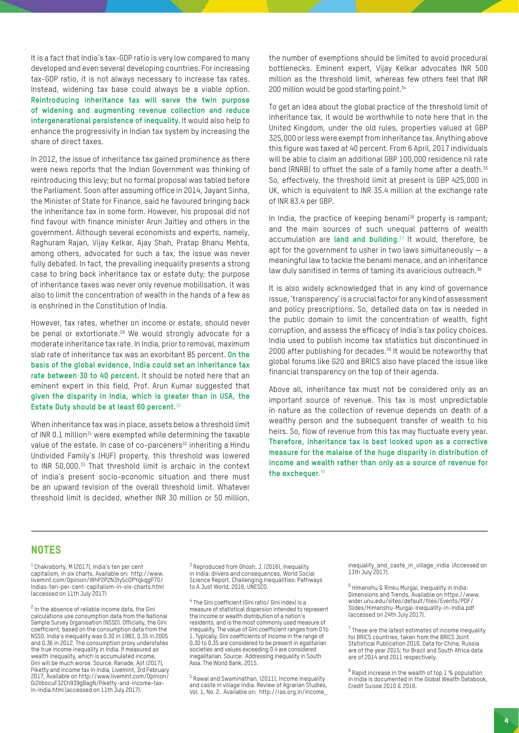It is a fact that India's tax-GDP ratio is very low compared to many developed and even several developing countries. For increasing tax-GDP ratio, it is not always necessary to increase tax rates. Instead, widening tax base could always be a viable option. **Reintroducing inheritance tax will serve the twin purpose of widening and augmenting revenue collection and reduce intergenerational persistence of inequality.** It would also help to enhance the progressivity in Indian tax system by increasing the share of direct taxes.

In 2012, the issue of inheritance tax gained prominence as there were news reports that the Indian Government was thinking of reintroducing this levy; but no formal proposal was tabled before the Parliament. Soon after assuming office in 2014, Jayant Sinha, the Minister of State for Finance, said he favoured bringing back the inheritance tax in some form. However, his proposal did not find favour with finance minister Arun Jaitley and others in the government. Although several economists and experts, namely, Raghuram Rajan, Vijay Kelkar, Ajay Shah, Pratap Bhanu Mehta, among others, advocated for such a tax, the issue was never fully debated. In fact, the prevailing inequality presents a strong case to bring back inheritance tax or estate duty; the purpose of inheritance taxes was never only revenue mobilisation, it was also to limit the concentration of wealth in the hands of a few as is enshrined in the Constitution of India.

However, tax rates, whether on income or estate, should never be penal or extortionate.<sup>29</sup> We would strongly advocate for a moderate inheritance tax rate. In India, prior to removal, maximum slab rate of inheritance tax was an exorbitant 85 percent. **On the basis of the global evidence, India could set an inheritance tax rate between 30 to 40 percent.** It should be noted here that an eminent expert in this field, Prof. Arun Kumar suggested that **given the disparity in India, which is greater than in USA, the Estate Duty should be at least 60 percent.**<sup>30</sup>

When inheritance tax was in place, assets below a threshold limit of INR 0.1 million $31$  were exempted while determining the taxable value of the estate. In case of co-parceners<sup>32</sup> inheriting a Hindu Undivided Family's (HUF) property, this threshold was lowered to INR 50,000.33 That threshold limit is archaic in the context of India's present socio-economic situation and there must be an upward revision of the overall threshold limit. Whatever threshold limit is decided, whether INR 30 million or 50 million,

the number of exemptions should be limited to avoid procedural bottlenecks. Eminent expert, Vijay Kelkar advocates INR 500 million as the threshold limit, whereas few others feel that INR 200 million would be good starting point.<sup>34</sup>

To get an idea about the global practice of the threshold limit of inheritance tax, it would be worthwhile to note here that in the United Kingdom, under the old rules, properties valued at GBP 325,000 or less were exempt from inheritance tax. Anything above this figure was taxed at 40 percent. From 6 April, 2017 individuals will be able to claim an additional GBP 100,000 residence nil rate band (RNRB) to offset the sale of a family home after a death.<sup>35</sup> So, effectively, the threshold limit at present is GBP 425,000 in UK, which is equivalent to INR 35.4 million at the exchange rate of INR 83.4 per GBP.

In India, the practice of keeping benami<sup>36</sup> property is rampant; and the main sources of such unequal patterns of wealth accumulation are **land and building**. 37 It would, therefore, be apt for the government to usher in two laws simultaneously  $- a$ meaningful law to tackle the benami menace, and an inheritance law duly sanitised in terms of taming its avaricious outreach.<sup>38</sup>

It is also widely acknowledged that in any kind of governance issue, 'transparency' is a crucial factor for any kind of assessment and policy prescriptions. So, detailed data on tax is needed in the public domain to limit the concentration of wealth, fight corruption, and assess the efficacy of India's tax policy choices. India used to publish income tax statistics but discontinued in 2000 after publishing for decades.<sup>39</sup> It would be noteworthy that global forums like G20 and BRICS also have placed the issue like financial transparency on the top of their agenda.

Above all, inheritance tax must not be considered only as an important source of revenue. This tax is most unpredictable in nature as the collection of revenue depends on death of a wealthy person and the subsequent transfer of wealth to his heirs. So, flow of revenue from this tax may fluctuate every year. **Therefore, inheritance tax is best looked upon as a corrective measure for the malaise of the huge disparity in distribution of income and wealth rather than only as a source of revenue for the exchequer.** 40

#### **NOTES**

 $<sup>1</sup>$  Chakraborty, M (2017), India's ten per cent</sup> capitalism, in six charts, Available on: http://www. livemint.com/Opinion/WhP2P2N3ty5cDPYqkqgP7O/ Indias-ten-per-cent-capitalism-in-six-charts.html (accessed on 11th July 2017)

<sup>2</sup> In the absence of reliable income data, the Gini calculations use consumption data from the National Sample Survey Organisation (NSSO). Officially, the Gini coefficient, based on the consumption data from the NSSO, India's inequality was 0.30 in 1983, 0.35 in 2005 and 0.36 in 2012. The consumption proxy understates the true income inequality in India. If measured as wealth inequality, which is accumulated income, Gini will be much worse. Source: Ranade, Ajit (2017), Piketty and income tax in India, Livemint, 3rd February 2017, Available on http://www.livemint.com/Opinion/ Gi2lIbocuF32Ch939gBagN/Piketty-and-income-taxin-India.html (accessed on 11th July 2017).

 $^3$  Reproduced from Ghosh, J. (2016), Inequality in India: drivers and consequences, World Social Science Report, Challenging Inequalities: Pathways to A Just World, 2016, UNESCO.

4 The Gini coefficient (Gini ratio/ Gini index) is a measure of statistical dispersion intended to represent the income or wealth distribution of a nation's residents, and is the most commonly used measure of inequality. The value of Gini coefficient ranges from 0 to 1. Typically, Gini coefficients of income in the range of 0.30 to 0.35 are considered to be present in egalitarian societies and values exceeding 0.4 are considered inegalitarian. Source: Addressing Inequality in South Asia. The World Bank, 2015.

5 Rawal and Swaminathan, (2011), Income inequality and caste in village India. Review of Agrarian Studies, Vol. 1, No. 2. Available on: http://ras.org.in/income\_ inequality and caste in village india (Accessed on 13th July 2017).

6 Himanshu & Rinku Murgai, Inequality in India: Dimensions and Trends, Available on https://www. wider.unu.edu/sites/default/files/Events/PDF/ Slides/Himanshu-Murgai-Inequality-in-India.pdf (accessed on 24th July 2017).

 $7$  These are the latest estimates of income inequality for BRICS countries, taken from the BRICS Joint Statistical Publication 2016. Data for China, Russia are of the year 2015; for Brazil and South Africa data are of 2014 and 2011 respectively.

 $8$  Rapid increase in the wealth of top  $1\ \%$  population in India is documented in the Global Wealth Databook, Credit Suisse 2010 & 2016.